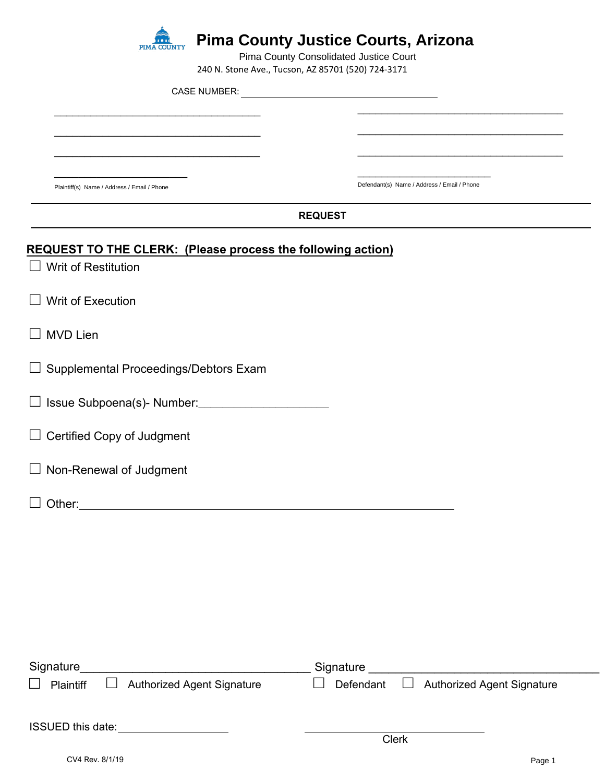

**Pima County Justice Courts, Arizona**

240 N. Stone Ave., Tucson, AZ 85701 (520) 724-3171 Pima County Consolidated Justice Court

| $240$ iv. Storic Ave., Tucson, AZ 03701 (SZ0) 724-3171             |                                                |  |  |
|--------------------------------------------------------------------|------------------------------------------------|--|--|
|                                                                    |                                                |  |  |
|                                                                    |                                                |  |  |
|                                                                    |                                                |  |  |
|                                                                    |                                                |  |  |
|                                                                    |                                                |  |  |
| Plaintiff(s) Name / Address / Email / Phone                        | Defendant(s) Name / Address / Email / Phone    |  |  |
| <b>REQUEST</b>                                                     |                                                |  |  |
| <b>REQUEST TO THE CLERK: (Please process the following action)</b> |                                                |  |  |
| $\Box$ Writ of Restitution                                         |                                                |  |  |
| $\Box$ Writ of Execution                                           |                                                |  |  |
| $\Box$ MVD Lien                                                    |                                                |  |  |
| $\Box$ Supplemental Proceedings/Debtors Exam                       |                                                |  |  |
|                                                                    |                                                |  |  |
| $\Box$ Certified Copy of Judgment                                  |                                                |  |  |
| $\Box$ Non-Renewal of Judgment                                     |                                                |  |  |
| Other:                                                             |                                                |  |  |
|                                                                    |                                                |  |  |
|                                                                    |                                                |  |  |
|                                                                    |                                                |  |  |
|                                                                    |                                                |  |  |
|                                                                    |                                                |  |  |
| <b>Authorized Agent Signature</b><br>$\mathcal{L}$<br>Plaintiff    | <b>Authorized Agent Signature</b><br>Defendant |  |  |
|                                                                    | Clerk                                          |  |  |
|                                                                    |                                                |  |  |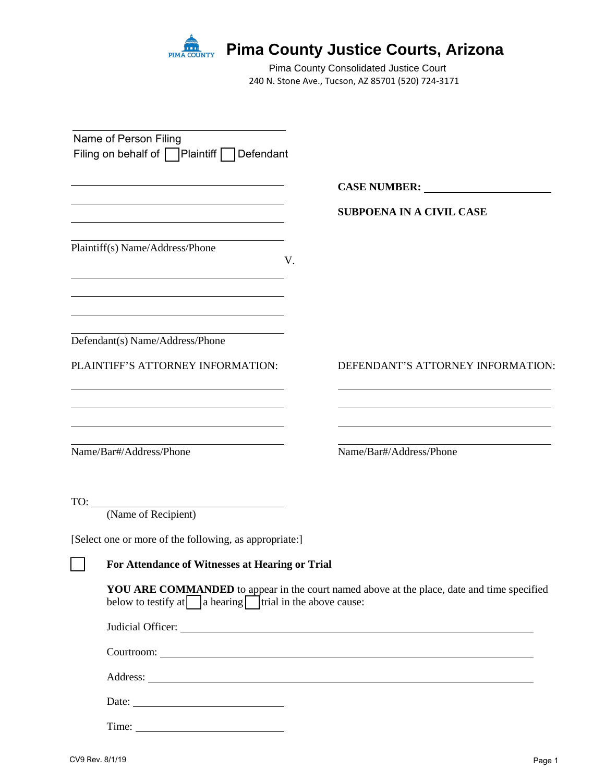

# **Pima County Justice Courts, Arizona**

240 N. Stone Ave., Tucson, AZ 85701 (520) 724-3171 Pima County Consolidated Justice Court

| Name of Person Filing<br>Filing on behalf of Plaintiff   Defendant                                                                                |    |                                                                                                                                                  |
|---------------------------------------------------------------------------------------------------------------------------------------------------|----|--------------------------------------------------------------------------------------------------------------------------------------------------|
|                                                                                                                                                   |    |                                                                                                                                                  |
|                                                                                                                                                   |    | <b>SUBPOENA IN A CIVIL CASE</b>                                                                                                                  |
| Plaintiff(s) Name/Address/Phone                                                                                                                   | V. |                                                                                                                                                  |
| Defendant(s) Name/Address/Phone                                                                                                                   |    |                                                                                                                                                  |
| PLAINTIFF'S ATTORNEY INFORMATION:                                                                                                                 |    | DEFENDANT'S ATTORNEY INFORMATION:                                                                                                                |
| <u> 1989 - Johann Stoff, deutscher Stoffen und der Stoffen und der Stoffen und der Stoffen und der Stoffen und der</u><br>Name/Bar#/Address/Phone |    | <u> 1989 - Johann Stoff, deutscher Stoff, der Stoff, der Stoff, der Stoff, der Stoff, der Stoff, der Stoff, der S</u><br>Name/Bar#/Address/Phone |
| $\begin{array}{c}\n\hline\n\text{TO:}\n\hline\n\end{array}$<br>(Name of Recipient)                                                                |    |                                                                                                                                                  |
| [Select one or more of the following, as appropriate:]                                                                                            |    |                                                                                                                                                  |
| For Attendance of Witnesses at Hearing or Trial                                                                                                   |    |                                                                                                                                                  |
| below to testify at $\Box$ a hearing $\Box$ trial in the above cause:                                                                             |    | YOU ARE COMMANDED to appear in the court named above at the place, date and time specified                                                       |
|                                                                                                                                                   |    |                                                                                                                                                  |
|                                                                                                                                                   |    |                                                                                                                                                  |
|                                                                                                                                                   |    |                                                                                                                                                  |
|                                                                                                                                                   |    |                                                                                                                                                  |
| Time:                                                                                                                                             |    |                                                                                                                                                  |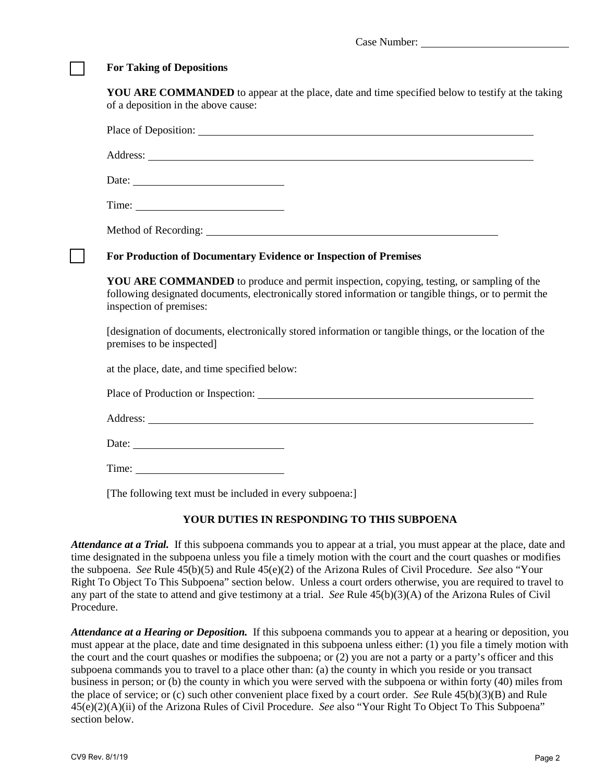#### **For Taking of Depositions**

**YOU ARE COMMANDED** to appear at the place, date and time specified below to testify at the taking of a deposition in the above cause:

Place of Deposition:

Address: 2008. 2008. 2009. 2009. 2009. 2009. 2009. 2009. 2009. 2009. 2009. 2009. 2009. 2009. 2009. 2009. 2009. 2009. 2009. 2009. 2009. 2009. 2009. 2009. 2009. 2009. 2009. 2009. 2009. 2009. 2009. 2009. 2009. 2009. 2009. 200

Date: 2008. External partnership and the set of the set of the set of the set of the set of the set of the set of the set of the set of the set of the set of the set of the set of the set of the set of the set of the set o

Time:

Method of Recording:

#### [ ] **For Production of Documentary Evidence or Inspection of Premises**

**YOU ARE COMMANDED** to produce and permit inspection, copying, testing, or sampling of the following designated documents, electronically stored information or tangible things, or to permit the inspection of premises:

[designation of documents, electronically stored information or tangible things, or the location of the premises to be inspected]

at the place, date, and time specified below:

Place of Production or Inspection:

Address: The Company of the Company of the Company of the Company of the Company of the Company of the Company of the Company of the Company of the Company of the Company of the Company of the Company of the Company of the

Date:

Time:

[The following text must be included in every subpoena:]

#### **YOUR DUTIES IN RESPONDING TO THIS SUBPOENA**

*Attendance at a Trial.* If this subpoena commands you to appear at a trial, you must appear at the place, date and time designated in the subpoena unless you file a timely motion with the court and the court quashes or modifies the subpoena. *See* Rule 45(b)(5) and Rule 45(e)(2) of the Arizona Rules of Civil Procedure. *See* also "Your Right To Object To This Subpoena" section below. Unless a court orders otherwise, you are required to travel to any part of the state to attend and give testimony at a trial. *See* Rule 45(b)(3)(A) of the Arizona Rules of Civil Procedure.

*Attendance at a Hearing or Deposition.* If this subpoena commands you to appear at a hearing or deposition, you must appear at the place, date and time designated in this subpoena unless either: (1) you file a timely motion with the court and the court quashes or modifies the subpoena; or (2) you are not a party or a party's officer and this subpoena commands you to travel to a place other than: (a) the county in which you reside or you transact business in person; or (b) the county in which you were served with the subpoena or within forty (40) miles from the place of service; or (c) such other convenient place fixed by a court order. *See* Rule 45(b)(3)(B) and Rule 45(e)(2)(A)(ii) of the Arizona Rules of Civil Procedure. *See* also "Your Right To Object To This Subpoena" section below.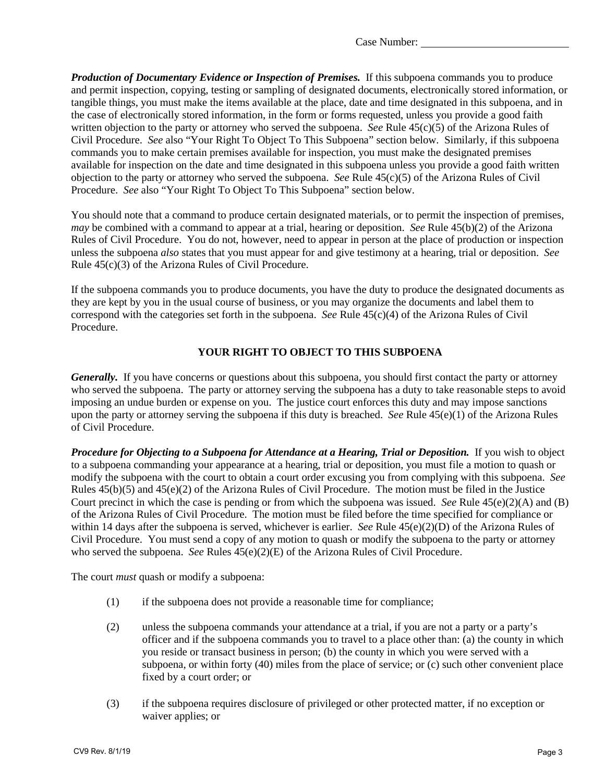Case Number:

*Production of Documentary Evidence or Inspection of Premises.* If this subpoena commands you to produce and permit inspection, copying, testing or sampling of designated documents, electronically stored information, or tangible things, you must make the items available at the place, date and time designated in this subpoena, and in the case of electronically stored information, in the form or forms requested, unless you provide a good faith written objection to the party or attorney who served the subpoena. *See* Rule 45(c)(5) of the Arizona Rules of Civil Procedure. *See* also "Your Right To Object To This Subpoena" section below. Similarly, if this subpoena commands you to make certain premises available for inspection, you must make the designated premises available for inspection on the date and time designated in this subpoena unless you provide a good faith written objection to the party or attorney who served the subpoena. *See* Rule 45(c)(5) of the Arizona Rules of Civil Procedure. *See* also "Your Right To Object To This Subpoena" section below.

You should note that a command to produce certain designated materials, or to permit the inspection of premises, *may* be combined with a command to appear at a trial, hearing or deposition. *See* Rule 45(b)(2) of the Arizona Rules of Civil Procedure. You do not, however, need to appear in person at the place of production or inspection unless the subpoena *also* states that you must appear for and give testimony at a hearing, trial or deposition. *See* Rule 45(c)(3) of the Arizona Rules of Civil Procedure.

If the subpoena commands you to produce documents, you have the duty to produce the designated documents as they are kept by you in the usual course of business, or you may organize the documents and label them to correspond with the categories set forth in the subpoena. *See* Rule 45(c)(4) of the Arizona Rules of Civil Procedure.

## **YOUR RIGHT TO OBJECT TO THIS SUBPOENA**

*Generally.* If you have concerns or questions about this subpoena, you should first contact the party or attorney who served the subpoena. The party or attorney serving the subpoena has a duty to take reasonable steps to avoid imposing an undue burden or expense on you. The justice court enforces this duty and may impose sanctions upon the party or attorney serving the subpoena if this duty is breached. *See* Rule 45(e)(1) of the Arizona Rules of Civil Procedure.

*Procedure for Objecting to a Subpoena for Attendance at a Hearing, Trial or Deposition.* If you wish to object to a subpoena commanding your appearance at a hearing, trial or deposition, you must file a motion to quash or modify the subpoena with the court to obtain a court order excusing you from complying with this subpoena. *See* Rules 45(b)(5) and 45(e)(2) of the Arizona Rules of Civil Procedure. The motion must be filed in the Justice Court precinct in which the case is pending or from which the subpoena was issued. *See* Rule 45(e)(2)(A) and (B) of the Arizona Rules of Civil Procedure. The motion must be filed before the time specified for compliance or within 14 days after the subpoena is served, whichever is earlier. *See* Rule 45(e)(2)(D) of the Arizona Rules of Civil Procedure. You must send a copy of any motion to quash or modify the subpoena to the party or attorney who served the subpoena. *See* Rules 45(e)(2)(E) of the Arizona Rules of Civil Procedure.

The court *must* quash or modify a subpoena:

- (1) if the subpoena does not provide a reasonable time for compliance;
- (2) unless the subpoena commands your attendance at a trial, if you are not a party or a party's officer and if the subpoena commands you to travel to a place other than: (a) the county in which you reside or transact business in person; (b) the county in which you were served with a subpoena, or within forty (40) miles from the place of service; or (c) such other convenient place fixed by a court order; or
- (3) if the subpoena requires disclosure of privileged or other protected matter, if no exception or waiver applies; or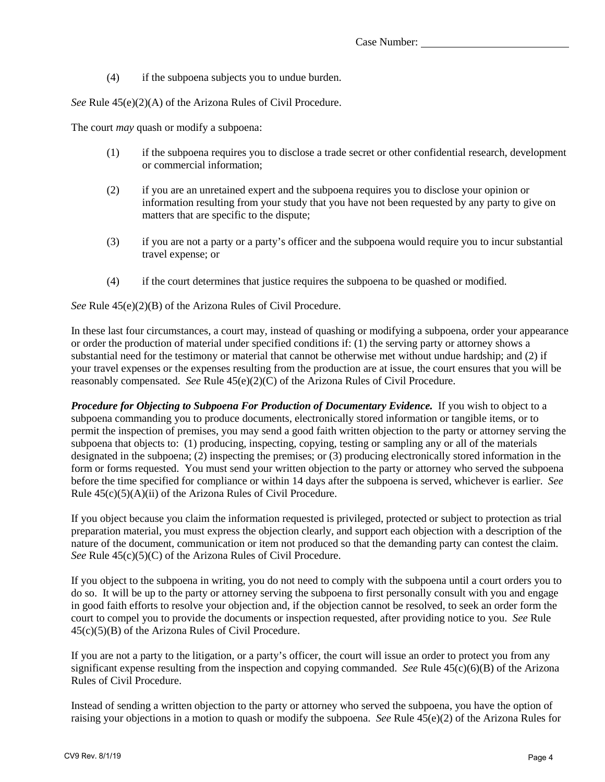(4) if the subpoena subjects you to undue burden.

*See* Rule 45(e)(2)(A) of the Arizona Rules of Civil Procedure.

The court *may* quash or modify a subpoena:

- (1) if the subpoena requires you to disclose a trade secret or other confidential research, development or commercial information;
- (2) if you are an unretained expert and the subpoena requires you to disclose your opinion or information resulting from your study that you have not been requested by any party to give on matters that are specific to the dispute;
- (3) if you are not a party or a party's officer and the subpoena would require you to incur substantial travel expense; or
- (4) if the court determines that justice requires the subpoena to be quashed or modified.

*See* Rule 45(e)(2)(B) of the Arizona Rules of Civil Procedure.

In these last four circumstances, a court may, instead of quashing or modifying a subpoena, order your appearance or order the production of material under specified conditions if: (1) the serving party or attorney shows a substantial need for the testimony or material that cannot be otherwise met without undue hardship; and (2) if your travel expenses or the expenses resulting from the production are at issue, the court ensures that you will be reasonably compensated. *See* Rule 45(e)(2)(C) of the Arizona Rules of Civil Procedure.

*Procedure for Objecting to Subpoena For Production of Documentary Evidence.* If you wish to object to a subpoena commanding you to produce documents, electronically stored information or tangible items, or to permit the inspection of premises, you may send a good faith written objection to the party or attorney serving the subpoena that objects to: (1) producing, inspecting, copying, testing or sampling any or all of the materials designated in the subpoena; (2) inspecting the premises; or (3) producing electronically stored information in the form or forms requested. You must send your written objection to the party or attorney who served the subpoena before the time specified for compliance or within 14 days after the subpoena is served, whichever is earlier. *See* Rule 45(c)(5)(A)(ii) of the Arizona Rules of Civil Procedure.

If you object because you claim the information requested is privileged, protected or subject to protection as trial preparation material, you must express the objection clearly, and support each objection with a description of the nature of the document, communication or item not produced so that the demanding party can contest the claim. *See* Rule 45(c)(5)(C) of the Arizona Rules of Civil Procedure.

If you object to the subpoena in writing, you do not need to comply with the subpoena until a court orders you to do so. It will be up to the party or attorney serving the subpoena to first personally consult with you and engage in good faith efforts to resolve your objection and, if the objection cannot be resolved, to seek an order form the court to compel you to provide the documents or inspection requested, after providing notice to you. *See* Rule 45(c)(5)(B) of the Arizona Rules of Civil Procedure.

If you are not a party to the litigation, or a party's officer, the court will issue an order to protect you from any significant expense resulting from the inspection and copying commanded. *See* Rule 45(c)(6)(B) of the Arizona Rules of Civil Procedure.

Instead of sending a written objection to the party or attorney who served the subpoena, you have the option of raising your objections in a motion to quash or modify the subpoena. *See* Rule 45(e)(2) of the Arizona Rules for